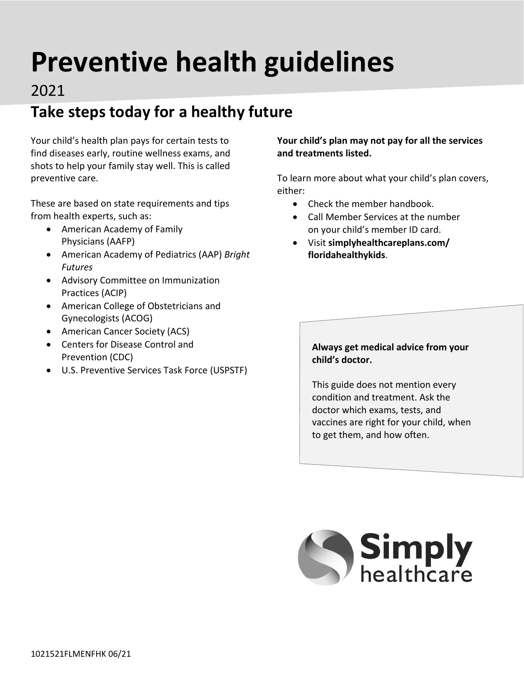# **Preventive health guidelines**

#### 2021

# **Take steps today for a healthy future**

Your child's health plan pays for certain tests to find diseases early, routine wellness exams, and shots to help your family stay well. This is called preventive care.

These are based on state requirements and tips from health experts, such as:

- American Academy of Family Physicians (AAFP)
- American Academy of Pediatrics (AAP) *Bright Futures*
- Advisory Committee on Immunization Practices (ACIP)
- American College of Obstetricians and Gynecologists (ACOG)
- American Cancer Society (ACS)
- Centers for Disease Control and Prevention (CDC)
- U.S. Preventive Services Task Force (USPSTF)

**Your child's plan may not pay for all the services and treatments listed.** 

To learn more about what your child's plan covers, either:

- Check the member handbook.
- Call Member Services at the number on your child's member ID card.
- Visit **[simplyhealthcareplans.com/](http://simplyhealthcareplans.com/floridahealthykids) [floridahealthykids](http://simplyhealthcareplans.com/floridahealthykids)**.

#### **Always get medical advice from your child's doctor.**

This guide does not mention every condition and treatment. Ask the doctor which exams, tests, and vaccines are right for your child, when to get them, and how often.

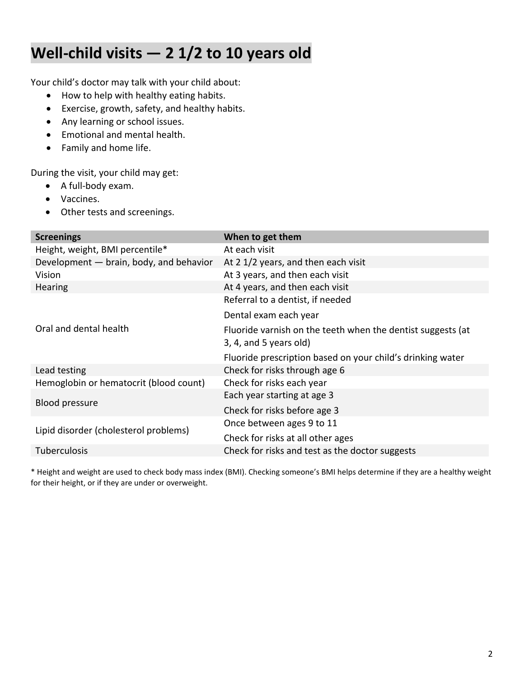## **Well-child visits — 2 1/2 to 10 years old**

Your child's doctor may talk with your child about:

- How to help with healthy eating habits.
- Exercise, growth, safety, and healthy habits.
- Any learning or school issues.
- Emotional and mental health.
- Family and home life.

During the visit, your child may get:

- A full-body exam.
- Vaccines.
- Other tests and screenings.

| <b>Screenings</b>                       | When to get them                                            |
|-----------------------------------------|-------------------------------------------------------------|
| Height, weight, BMI percentile*         | At each visit                                               |
| Development - brain, body, and behavior | At 2 1/2 years, and then each visit                         |
| Vision                                  | At 3 years, and then each visit                             |
| Hearing                                 | At 4 years, and then each visit                             |
|                                         | Referral to a dentist, if needed                            |
|                                         | Dental exam each year                                       |
| Oral and dental health                  | Fluoride varnish on the teeth when the dentist suggests (at |
|                                         | 3, 4, and 5 years old)                                      |
|                                         | Fluoride prescription based on your child's drinking water  |
| Lead testing                            | Check for risks through age 6                               |
| Hemoglobin or hematocrit (blood count)  | Check for risks each year                                   |
| <b>Blood pressure</b>                   | Each year starting at age 3                                 |
|                                         | Check for risks before age 3                                |
| Lipid disorder (cholesterol problems)   | Once between ages 9 to 11                                   |
|                                         | Check for risks at all other ages                           |
| <b>Tuberculosis</b>                     | Check for risks and test as the doctor suggests             |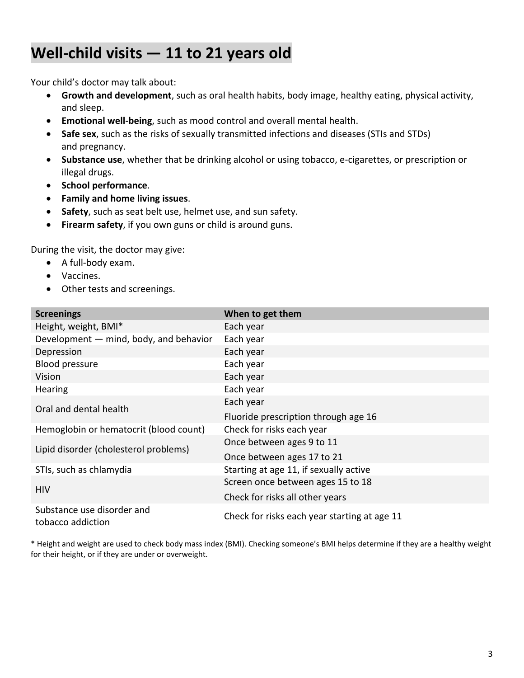## **Well-child visits — 11 to 21 years old**

Your child's doctor may talk about:

- **Growth and development**, such as oral health habits, body image, healthy eating, physical activity, and sleep.
- **Emotional well-being**, such as mood control and overall mental health.
- **Safe sex**, such as the risks of sexually transmitted infections and diseases (STIs and STDs) and pregnancy.
- **Substance use**, whether that be drinking alcohol or using tobacco, e-cigarettes, or prescription or illegal drugs.
- **School performance**.
- **Family and home living issues**.
- **Safety**, such as seat belt use, helmet use, and sun safety.
- **Firearm safety**, if you own guns or child is around guns.

During the visit, the doctor may give:

- A full-body exam.
- Vaccines.
- Other tests and screenings.

| <b>Screenings</b>                               | When to get them                             |
|-------------------------------------------------|----------------------------------------------|
| Height, weight, BMI*                            | Each year                                    |
| Development - mind, body, and behavior          | Each year                                    |
| Depression                                      | Each year                                    |
| <b>Blood pressure</b>                           | Each year                                    |
| Vision                                          | Each year                                    |
| Hearing                                         | Each year                                    |
| Oral and dental health                          | Each year                                    |
|                                                 | Fluoride prescription through age 16         |
| Hemoglobin or hematocrit (blood count)          | Check for risks each year                    |
| Lipid disorder (cholesterol problems)           | Once between ages 9 to 11                    |
|                                                 | Once between ages 17 to 21                   |
| STIs, such as chlamydia                         | Starting at age 11, if sexually active       |
|                                                 | Screen once between ages 15 to 18            |
| <b>HIV</b>                                      | Check for risks all other years              |
| Substance use disorder and<br>tobacco addiction | Check for risks each year starting at age 11 |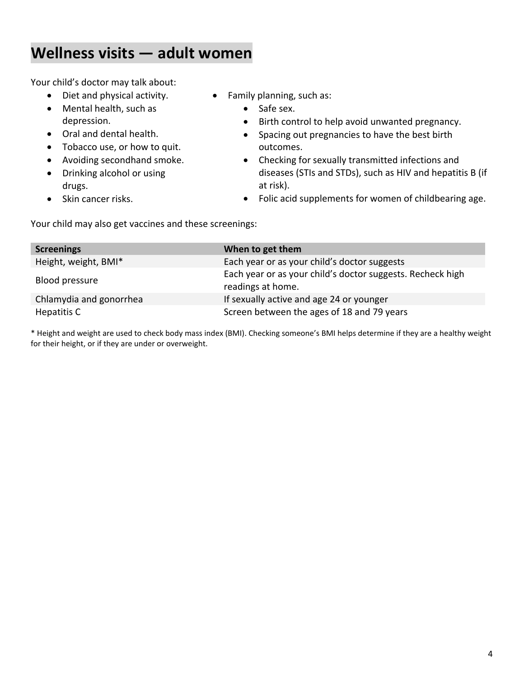## **Wellness visits — adult women**

Your child may also get vaccines and these screenings:

Your child's doctor may talk about:

- Diet and physical activity.
- Mental health, such as depression.
- Oral and dental health.
- Tobacco use, or how to quit.
- Avoiding secondhand smoke.
- Drinking alcohol or using drugs.
- Skin cancer risks.
- Family planning, such as:
	- Safe sex.
	- Birth control to help avoid unwanted pregnancy.
	- Spacing out pregnancies to have the best birth outcomes.
	- Checking for sexually transmitted infections and diseases (STIs and STDs), such as HIV and hepatitis B (if at risk).
	- Folic acid supplements for women of childbearing age.

**Screenings** When to get them Height, weight, BMI\* Each year or as your child's doctor suggests Blood pressure Each year or as your child's doctor suggests. Recheck high readings at home. Chlamydia and gonorrhea If sexually active and age 24 or younger Hepatitis C **Screen between the ages of 18 and 79 years** Screen between the ages of 18 and 79 years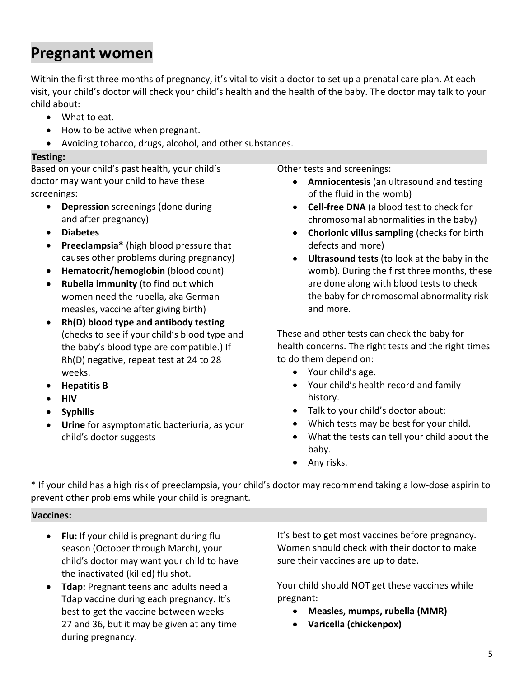## **Pregnant women**

Within the first three months of pregnancy, it's vital to visit a doctor to set up a prenatal care plan. At each visit, your child's doctor will check your child's health and the health of the baby. The doctor may talk to your child about:

- What to eat.
- How to be active when pregnant.
- Avoiding tobacco, drugs, alcohol, and other substances.

#### **Testing:**

Based on your child's past health, your child's doctor may want your child to have these screenings:

- **Depression** screenings (done during and after pregnancy)
- **Diabetes**
- **Preeclampsia\*** (high blood pressure that causes other problems during pregnancy)
- **Hematocrit/hemoglobin** (blood count)
- **Rubella immunity** (to find out which women need the rubella, aka German measles, vaccine after giving birth)
- **Rh(D) blood type and antibody testing** (checks to see if your child's blood type and the baby's blood type are compatible.) If Rh(D) negative, repeat test at 24 to 28 weeks.
- **Hepatitis B**
- **HIV**
- **Syphilis**
- **Urine** for asymptomatic bacteriuria, as your child's doctor suggests

Other tests and screenings:

- **Amniocentesis** (an ultrasound and testing of the fluid in the womb)
- **Cell-free DNA** (a blood test to check for chromosomal abnormalities in the baby)
- **Chorionic villus sampling** (checks for birth defects and more)
- **Ultrasound tests** (to look at the baby in the womb). During the first three months, these are done along with blood tests to check the baby for chromosomal abnormality risk and more.

These and other tests can check the baby for health concerns. The right tests and the right times to do them depend on:

- Your child's age.
- Your child's health record and family history.
- Talk to your child's doctor about:
- Which tests may be best for your child.
- What the tests can tell your child about the baby.
- Any risks.

\* If your child has a high risk of preeclampsia, your child's doctor may recommend taking a low-dose aspirin to prevent other problems while your child is pregnant.

#### **Vaccines:**

- **Flu:** If your child is pregnant during flu season (October through March), your child's doctor may want your child to have the inactivated (killed) flu shot.
- **Tdap:** Pregnant teens and adults need a Tdap vaccine during each pregnancy. It's best to get the vaccine between weeks 27 and 36, but it may be given at any time during pregnancy.

It's best to get most vaccines before pregnancy. Women should check with their doctor to make sure their vaccines are up to date.

Your child should NOT get these vaccines while pregnant:

- **Measles, mumps, rubella (MMR)**
- **Varicella (chickenpox)**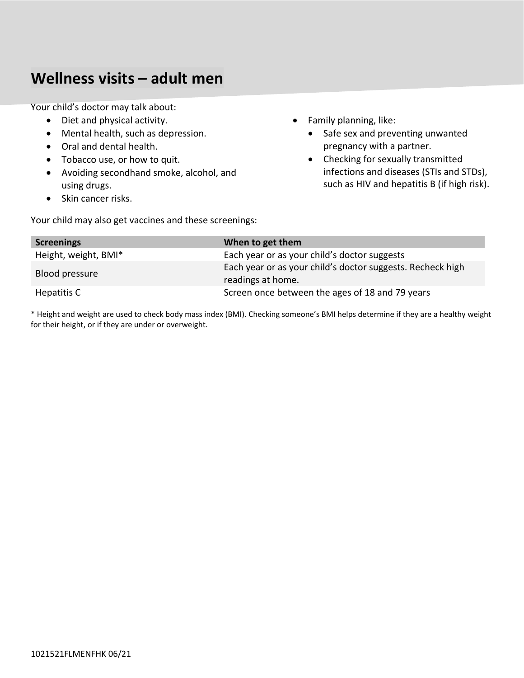#### **Wellness visits – adult men**

Your child's doctor may talk about:

- Diet and physical activity.
- Mental health, such as depression.
- Oral and dental health.
- Tobacco use, or how to quit.
- Avoiding secondhand smoke, alcohol, and using drugs.
- Skin cancer risks.
- Family planning, like:
	- Safe sex and preventing unwanted pregnancy with a partner.
	- Checking for sexually transmitted infections and diseases (STIs and STDs), such as HIV and hepatitis B (if high risk).

Your child may also get vaccines and these screenings:

| <b>Screenings</b>    | When to get them                                                                |
|----------------------|---------------------------------------------------------------------------------|
| Height, weight, BMI* | Each year or as your child's doctor suggests                                    |
| Blood pressure       | Each year or as your child's doctor suggests. Recheck high<br>readings at home. |
| Hepatitis C          | Screen once between the ages of 18 and 79 years                                 |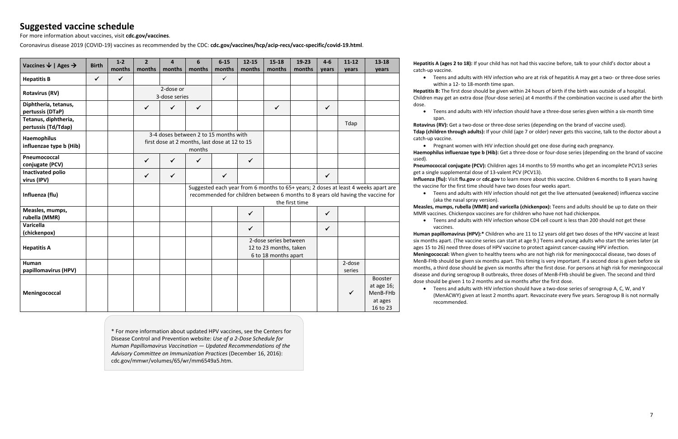#### **Suggested vaccine schedule**

For more information about vaccines, visit **[cdc.gov/vaccines](http://cdc.gov/vaccines)**.

Coronavirus disease 2019 (COVID-19) vaccines as recommended by the CDC: **[cdc.gov/vaccines/hcp/acip-recs/vacc-specific/covid-19.html](http://cdc.gov/vaccines/hcp/acip-recs/vacc-specific/covid-19.html)**.

| Vaccines $\downarrow$   Ages $\rightarrow$  | <b>Birth</b> | $1 - 2$      | $\overline{2}$                                                                                   | $\Delta$     | 6                                                                                                                                                                                       | $6 - 15$     | $12 - 15$                                                               | $15 - 18$    | 19-23  | $4 - 6$      | $11 - 12$ | $13 - 18$                                                |
|---------------------------------------------|--------------|--------------|--------------------------------------------------------------------------------------------------|--------------|-----------------------------------------------------------------------------------------------------------------------------------------------------------------------------------------|--------------|-------------------------------------------------------------------------|--------------|--------|--------------|-----------|----------------------------------------------------------|
|                                             |              | months       | months                                                                                           | months       | months                                                                                                                                                                                  | months       | months                                                                  | months       | months | vears        | years     | years                                                    |
| <b>Hepatitis B</b>                          | $\checkmark$ | $\checkmark$ |                                                                                                  |              |                                                                                                                                                                                         | $\checkmark$ |                                                                         |              |        |              |           |                                                          |
| <b>Rotavirus (RV)</b>                       |              |              | 2-dose or<br>3-dose series                                                                       |              |                                                                                                                                                                                         |              |                                                                         |              |        |              |           |                                                          |
| Diphtheria, tetanus,                        |              |              |                                                                                                  |              |                                                                                                                                                                                         |              |                                                                         |              |        |              |           |                                                          |
| pertussis (DTaP)                            |              |              | $\checkmark$                                                                                     | $\checkmark$ | $\checkmark$                                                                                                                                                                            |              |                                                                         | $\checkmark$ |        | $\checkmark$ |           |                                                          |
| Tetanus, diphtheria,<br>pertussis (Td/Tdap) |              |              |                                                                                                  |              |                                                                                                                                                                                         |              |                                                                         |              |        |              | Tdap      |                                                          |
| Haemophilus<br>influenzae type b (Hib)      |              |              | 3-4 doses between 2 to 15 months with<br>first dose at 2 months, last dose at 12 to 15<br>months |              |                                                                                                                                                                                         |              |                                                                         |              |        |              |           |                                                          |
| Pneumococcal<br>conjugate (PCV)             |              |              | $\checkmark$                                                                                     | $\checkmark$ | $\checkmark$                                                                                                                                                                            |              | $\checkmark$                                                            |              |        |              |           |                                                          |
| <b>Inactivated polio</b><br>virus (IPV)     |              |              | $\checkmark$                                                                                     | $\checkmark$ |                                                                                                                                                                                         | $\checkmark$ |                                                                         |              |        | $\checkmark$ |           |                                                          |
| Influenza (flu)                             |              |              |                                                                                                  |              | Suggested each year from 6 months to 65+ years; 2 doses at least 4 weeks apart are<br>recommended for children between 6 months to 8 years old having the vaccine for<br>the first time |              |                                                                         |              |        |              |           |                                                          |
| Measles, mumps,<br>rubella (MMR)            |              |              |                                                                                                  |              |                                                                                                                                                                                         |              | $\checkmark$                                                            |              |        | $\checkmark$ |           |                                                          |
| <b>Varicella</b><br>(chickenpox)            |              |              |                                                                                                  |              |                                                                                                                                                                                         |              | $\checkmark$                                                            |              |        | $\checkmark$ |           |                                                          |
| <b>Hepatitis A</b>                          |              |              |                                                                                                  |              |                                                                                                                                                                                         |              | 2-dose series between<br>12 to 23 months, taken<br>6 to 18 months apart |              |        |              |           |                                                          |
| <b>Human</b>                                |              |              |                                                                                                  |              |                                                                                                                                                                                         |              |                                                                         |              |        |              | 2-dose    |                                                          |
| papillomavirus (HPV)                        |              |              |                                                                                                  |              |                                                                                                                                                                                         |              |                                                                         |              |        |              | series    |                                                          |
| Meningococcal                               |              |              |                                                                                                  |              |                                                                                                                                                                                         |              |                                                                         |              |        |              | ✓         | Booster<br>at age 16;<br>MenB-FHb<br>at ages<br>16 to 23 |

**Hepatitis A (ages 2 to 18):** If your child has not had this vaccine before, talk to your child's doctor about a catch-up vaccine.

• Teens and adults with HIV infection who are at risk of hepatitis A may get a two- or three-dose series within a 12- to 18-month time span.

dose.

span.

catch-up vaccine.

used).

get a single supplemental dose of 13-valent PCV (PCV13). the vaccine for the first time should have two doses four weeks apart.

- **Hepatitis B:** The first dose should be given within 24 hours of birth if the birth was outside of a hospital.
- Children may get an extra dose (four-dose series) at 4 months if the combination vaccine is used after the birth
	- Teens and adults with HIV infection should have a three-dose series given within a six-month time
- **Rotavirus (RV):** Get a two-dose or three-dose series (depending on the brand of vaccine used).
- **Tdap (children through adults):** If your child (age 7 or older) never gets this vaccine, talk to the doctor about a
- Pregnant women with HIV infection should get one dose during each pregnancy. **Haemophilus influenzae type b (Hib):** Get a three-dose or four-dose series (depending on the brand of vaccine
- **Pneumococcal conjugate (PCV):** Children ages 14 months to 59 months who get an incomplete PCV13 series
- **Influenza (flu):** Visit **[flu.gov](http://flu.gov)** or **[cdc.gov](http://cdc.gov)** to learn more about this vaccine. Children 6 months to 8 years having
	- Teens and adults with HIV infection should not get the live attenuated (weakened) influenza vaccine
- **Measles, mumps, rubella (MMR) and varicella (chickenpox):** Teens and adults should be up to date on their MMR vaccines. Chickenpox vaccines are for children who have not had chickenpox.
	- Teens and adults with HIV infection whose CD4 cell count is less than 200 should not get these
- **Human papillomavirus (HPV):\*** Children who are 11 to 12 years old get two doses of the HPV vaccine at least six months apart. (The vaccine series can start at age 9.) Teens and young adults who start the series later (at ages 15 to 26) need three doses of HPV vaccine to protect against cancer-causing HPV infection.
- **Meningococcal:** When given to healthy teens who are not high risk for meningococcal disease, two doses of MenB-FHb should be given six months apart. This timing is very important. If a second dose is given before six months, a third dose should be given six months after the first dose. For persons at high risk for meningococcal disease and during serogroup B outbreaks, three doses of MenB-FHb should be given. The second and third

(aka the nasal spray version).

vaccines.

dose should be given 1 to 2 months and six months after the first dose.

• Teens and adults with HIV infection should have a two-dose series of serogroup A, C, W, and Y (MenACWY) given at least 2 months apart. Revaccinate every five years. Serogroup B is not normally recommended.

\* For more information about updated HPV vaccines, see the Centers for Disease Control and Prevention website: *Use of a 2-Dose Schedule for Human Papillomavirus Vaccination — Updated Recommendations of the Advisory Committee on Immunization Practices* (December 16, 2016): [cdc.gov/mmwr/volumes/65/wr/mm6549a5.htm](http://cdc.gov/mmwr/volumes/65/wr/mm6549a5.htm).